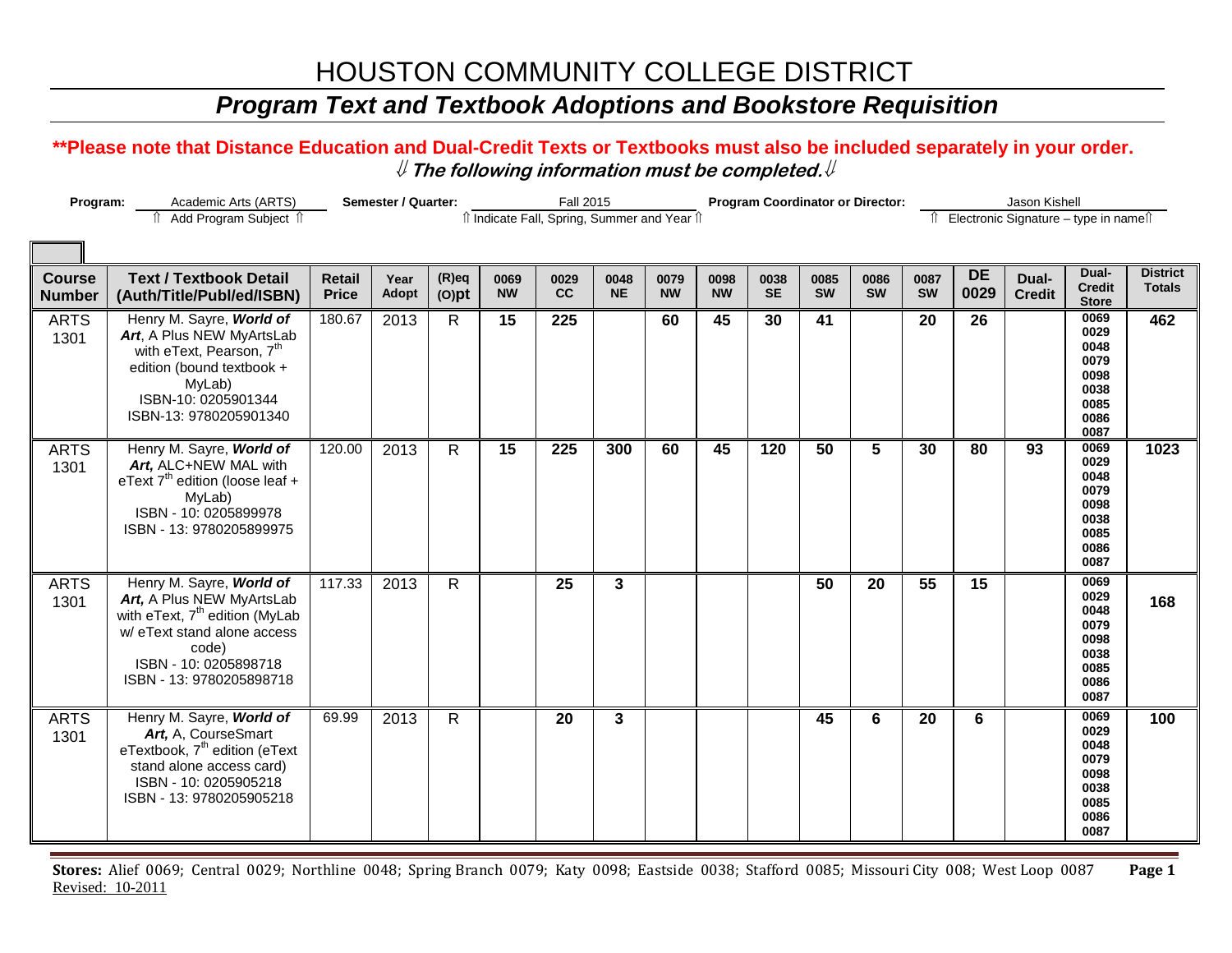## *Program Text and Textbook Adoptions and Bookstore Requisition*

#### **\*\*Please note that Distance Education and Dual-Credit Texts or Textbooks must also be included separately in your order.**  ⇓ **The following information must be completed.**⇓

| Program:                       | Academic Arts (ARTS)                                                                                                                                                                             |                               | Semester / Quarter: |                      |                   | <b>Fall 2015</b>                             |                   |                   |                   |                   |                   | <b>Program Coordinator or Director:</b> |                   |                   | Jason Kishell          |                                                                      |                                  |
|--------------------------------|--------------------------------------------------------------------------------------------------------------------------------------------------------------------------------------------------|-------------------------------|---------------------|----------------------|-------------------|----------------------------------------------|-------------------|-------------------|-------------------|-------------------|-------------------|-----------------------------------------|-------------------|-------------------|------------------------|----------------------------------------------------------------------|----------------------------------|
|                                | ↑ Add Program Subject ↑                                                                                                                                                                          |                               |                     |                      |                   | îl Indicate Fall, Spring, Summer and Year îl |                   |                   |                   |                   |                   |                                         | ⇑                 |                   |                        | Electronic Signature - type in name <sup>n</sup>                     |                                  |
|                                |                                                                                                                                                                                                  |                               |                     |                      |                   |                                              |                   |                   |                   |                   |                   |                                         |                   |                   |                        |                                                                      |                                  |
| <b>Course</b><br><b>Number</b> | <b>Text / Textbook Detail</b><br>(Auth/Title/Publ/ed/ISBN)                                                                                                                                       | <b>Retail</b><br><b>Price</b> | Year<br>Adopt       | $(R)$ eq<br>$(O)$ pt | 0069<br><b>NW</b> | 0029<br>cc                                   | 0048<br><b>NE</b> | 0079<br><b>NW</b> | 0098<br><b>NW</b> | 0038<br><b>SE</b> | 0085<br><b>SW</b> | 0086<br><b>SW</b>                       | 0087<br><b>SW</b> | <b>DE</b><br>0029 | Dual-<br><b>Credit</b> | Dual-<br><b>Credit</b><br><b>Store</b>                               | <b>District</b><br><b>Totals</b> |
| <b>ARTS</b><br>1301            | Henry M. Sayre, World of<br>Art, A Plus NEW MyArtsLab<br>with eText, Pearson, 7 <sup>th</sup><br>edition (bound textbook +<br>MyLab)<br>ISBN-10: 0205901344<br>ISBN-13: 9780205901340            | 180.67                        | 2013                | $\mathsf{R}$         | 15                | 225                                          |                   | 60                | 45                | 30                | 41                |                                         | 20                | 26                |                        | 0069<br>0029<br>0048<br>0079<br>0098<br>0038<br>0085<br>0086<br>0087 | 462                              |
| <b>ARTS</b><br>1301            | Henry M. Sayre, World of<br>Art, ALC+NEW MAL with<br>eText $7th$ edition (loose leaf +<br>MyLab)<br>ISBN - 10: 0205899978<br>ISBN - 13: 9780205899975                                            | 120.00                        | 2013                | $\mathsf{R}$         | 15                | 225                                          | 300               | 60                | 45                | 120               | 50                | 5                                       | 30                | 80                | 93                     | 0069<br>0029<br>0048<br>0079<br>0098<br>0038<br>0085<br>0086<br>0087 | 1023                             |
| <b>ARTS</b><br>1301            | Henry M. Sayre, World of<br>Art, A Plus NEW MyArtsLab<br>with eText, 7 <sup>th</sup> edition (MyLab<br>w/ eText stand alone access<br>code)<br>ISBN - 10: 0205898718<br>ISBN - 13: 9780205898718 | 117.33                        | 2013                | $\mathsf{R}$         |                   | 25                                           | 3                 |                   |                   |                   | 50                | 20                                      | $\overline{55}$   | $\overline{15}$   |                        | 0069<br>0029<br>0048<br>0079<br>0098<br>0038<br>0085<br>0086<br>0087 | 168                              |
| <b>ARTS</b><br>1301            | Henry M. Sayre, World of<br>Art, A, CourseSmart<br>eTextbook, 7 <sup>th</sup> edition (eText<br>stand alone access card)<br>ISBN - 10: 0205905218<br>ISBN - 13: 9780205905218                    | 69.99                         | 2013                | R                    |                   | 20                                           | 3                 |                   |                   |                   | 45                | 6                                       | 20                | 6                 |                        | 0069<br>0029<br>0048<br>0079<br>0098<br>0038<br>0085<br>0086<br>0087 | 100                              |

**Stores:** Alief 0069; Central 0029; Northline 0048; Spring Branch 0079; Katy 0098; Eastside 0038; Stafford 0085; Missouri City 008; West Loop 0087 **Page 1** Revised: 10-2011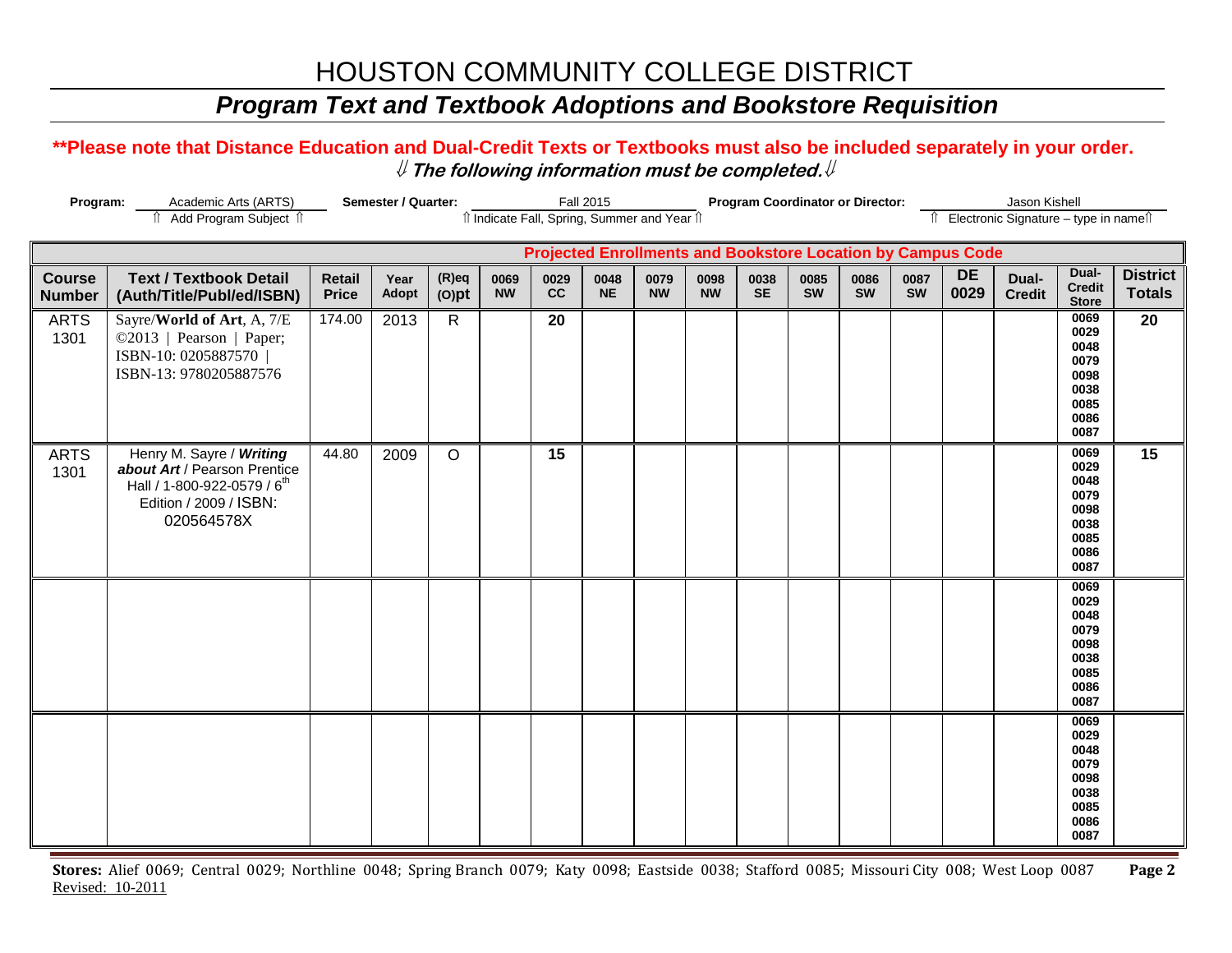## *Program Text and Textbook Adoptions and Bookstore Requisition*

#### **\*\*Please note that Distance Education and Dual-Credit Texts or Textbooks must also be included separately in your order.**  ⇓ **The following information must be completed.**⇓

| Semester / Quarter:<br>Program:<br>Academic Arts (ARTS) |                                                                                                                                             |                        |               |                      |                                              | <b>Fall 2015</b> |                   | <b>Program Coordinator or Director:</b> |                   |                   |            |            |                                          | Jason Kishell                                                      |                        |                                                                      |                                  |
|---------------------------------------------------------|---------------------------------------------------------------------------------------------------------------------------------------------|------------------------|---------------|----------------------|----------------------------------------------|------------------|-------------------|-----------------------------------------|-------------------|-------------------|------------|------------|------------------------------------------|--------------------------------------------------------------------|------------------------|----------------------------------------------------------------------|----------------------------------|
|                                                         | î Add Program Subject î                                                                                                                     |                        |               |                      | îl Indicate Fall, Spring, Summer and Year îl |                  |                   |                                         |                   |                   |            |            | Îl Electronic Signature - type in nameîl |                                                                    |                        |                                                                      |                                  |
|                                                         |                                                                                                                                             |                        |               |                      |                                              |                  |                   |                                         |                   |                   |            |            |                                          | <b>Projected Enrollments and Bookstore Location by Campus Code</b> |                        |                                                                      |                                  |
| <b>Course</b><br><b>Number</b>                          | <b>Text / Textbook Detail</b><br>(Auth/Title/Publ/ed/ISBN)                                                                                  | Retail<br><b>Price</b> | Year<br>Adopt | $(R)$ eq<br>$(O)$ pt | 0069<br><b>NW</b>                            | 0029<br>cc       | 0048<br><b>NE</b> | 0079<br><b>NW</b>                       | 0098<br><b>NW</b> | 0038<br><b>SE</b> | 0085<br>SW | 0086<br>SW | 0087<br>SW                               | <b>DE</b><br>0029                                                  | Dual-<br><b>Credit</b> | Dual-<br><b>Credit</b><br><b>Store</b>                               | <b>District</b><br><b>Totals</b> |
| <b>ARTS</b><br>1301                                     | Sayre/World of Art, A, 7/E<br>©2013   Pearson   Paper;<br>ISBN-10: 0205887570<br>ISBN-13: 9780205887576                                     | 174.00                 | 2013          | $\mathsf{R}$         |                                              | 20               |                   |                                         |                   |                   |            |            |                                          |                                                                    |                        | 0069<br>0029<br>0048<br>0079<br>0098<br>0038<br>0085<br>0086<br>0087 | 20                               |
| <b>ARTS</b><br>1301                                     | Henry M. Sayre / Writing<br>about Art / Pearson Prentice<br>Hall / 1-800-922-0579 / 6 <sup>th</sup><br>Edition / 2009 / ISBN:<br>020564578X | 44.80                  | 2009          | $\circ$              |                                              | $\overline{15}$  |                   |                                         |                   |                   |            |            |                                          |                                                                    |                        | 0069<br>0029<br>0048<br>0079<br>0098<br>0038<br>0085<br>0086<br>0087 | 15                               |
|                                                         |                                                                                                                                             |                        |               |                      |                                              |                  |                   |                                         |                   |                   |            |            |                                          |                                                                    |                        | 0069<br>0029<br>0048<br>0079<br>0098<br>0038<br>0085<br>0086<br>0087 |                                  |
|                                                         |                                                                                                                                             |                        |               |                      |                                              |                  |                   |                                         |                   |                   |            |            |                                          |                                                                    |                        | 0069<br>0029<br>0048<br>0079<br>0098<br>0038<br>0085<br>0086<br>0087 |                                  |

**Stores:** Alief 0069; Central 0029; Northline 0048; Spring Branch 0079; Katy 0098; Eastside 0038; Stafford 0085; Missouri City 008; West Loop 0087 **Page 2** Revised: 10-2011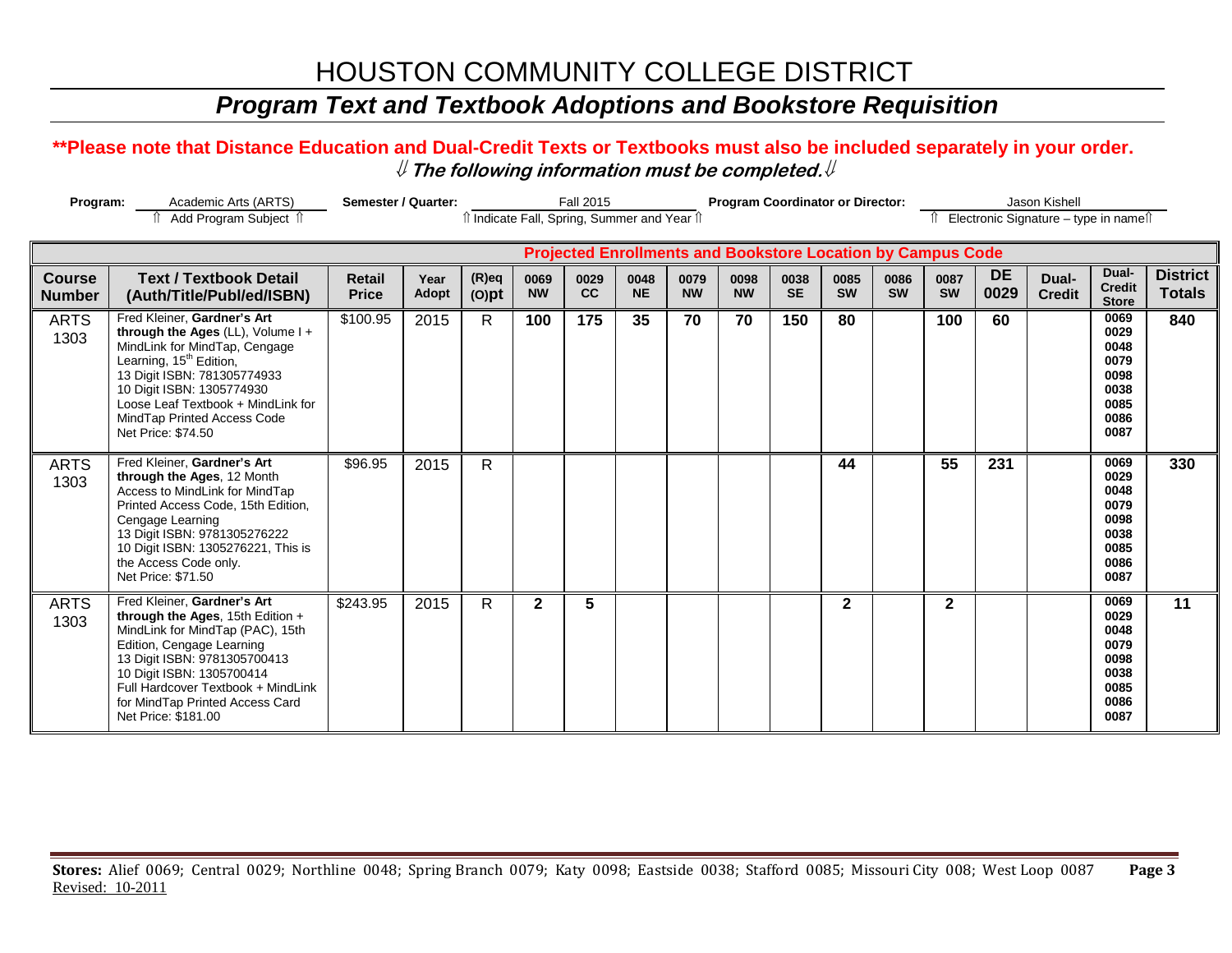## *Program Text and Textbook Adoptions and Bookstore Requisition*

#### **\*\*Please note that Distance Education and Dual-Credit Texts or Textbooks must also be included separately in your order.**  ⇓ **The following information must be completed.**⇓

| Program:                       | Academic Arts (ARTS)<br>Add Program Subject 1                                                                                                                                                                                                                                                     | Semester / Quarter:           |               |                      | îl Indicate Fall, Spring, Summer and Year îl | <b>Fall 2015</b> |                   |                   | <b>Program Coordinator or Director:</b><br><b>Projected Enrollments and Bookstore Location by Campus Code</b> |                   |                   |                   |                   |                   | Jason Kishell<br>Electronic Signature - type in names |                                                                      |                                  |
|--------------------------------|---------------------------------------------------------------------------------------------------------------------------------------------------------------------------------------------------------------------------------------------------------------------------------------------------|-------------------------------|---------------|----------------------|----------------------------------------------|------------------|-------------------|-------------------|---------------------------------------------------------------------------------------------------------------|-------------------|-------------------|-------------------|-------------------|-------------------|-------------------------------------------------------|----------------------------------------------------------------------|----------------------------------|
|                                |                                                                                                                                                                                                                                                                                                   |                               |               |                      |                                              |                  |                   |                   |                                                                                                               |                   |                   |                   |                   |                   |                                                       |                                                                      |                                  |
| <b>Course</b><br><b>Number</b> | <b>Text / Textbook Detail</b><br>(Auth/Title/Publ/ed/ISBN)                                                                                                                                                                                                                                        | <b>Retail</b><br><b>Price</b> | Year<br>Adopt | $(R)$ eq<br>$(O)$ pt | 0069<br><b>NW</b>                            | 0029<br>cc       | 0048<br><b>NE</b> | 0079<br><b>NW</b> | 0098<br><b>NW</b>                                                                                             | 0038<br><b>SE</b> | 0085<br><b>SW</b> | 0086<br><b>SW</b> | 0087<br><b>SW</b> | <b>DE</b><br>0029 | Dual-<br><b>Credit</b>                                | Dual-<br><b>Credit</b><br><b>Store</b>                               | <b>District</b><br><b>Totals</b> |
| <b>ARTS</b><br>1303            | Fred Kleiner. Gardner's Art<br>through the Ages (LL), Volume $I +$<br>MindLink for MindTap, Cengage<br>Learning, 15 <sup>th</sup> Edition,<br>13 Digit ISBN: 781305774933<br>10 Digit ISBN: 1305774930<br>Loose Leaf Textbook + MindLink for<br>MindTap Printed Access Code<br>Net Price: \$74.50 | \$100.95                      | 2015          | $\mathsf{R}$         | 100                                          | 175              | 35                | 70                | 70                                                                                                            | 150               | 80                |                   | 100               | 60                |                                                       | 0069<br>0029<br>0048<br>0079<br>0098<br>0038<br>0085<br>0086<br>0087 | 840                              |
| <b>ARTS</b><br>1303            | Fred Kleiner, Gardner's Art<br>through the Ages, 12 Month<br>Access to MindLink for MindTap<br>Printed Access Code, 15th Edition,<br>Cengage Learning<br>13 Digit ISBN: 9781305276222<br>10 Digit ISBN: 1305276221, This is<br>the Access Code only.<br>Net Price: \$71.50                        | \$96.95                       | 2015          | R                    |                                              |                  |                   |                   |                                                                                                               |                   | 44                |                   | 55                | 231               |                                                       | 0069<br>0029<br>0048<br>0079<br>0098<br>0038<br>0085<br>0086<br>0087 | 330                              |
| <b>ARTS</b><br>1303            | Fred Kleiner, Gardner's Art<br>through the Ages, 15th Edition +<br>MindLink for MindTap (PAC), 15th<br>Edition, Cengage Learning<br>13 Digit ISBN: 9781305700413<br>10 Digit ISBN: 1305700414<br>Full Hardcover Textbook + MindLink<br>for MindTap Printed Access Card<br>Net Price: \$181.00     | \$243.95                      | 2015          | $\mathsf{R}$         | $\overline{2}$                               | 5                |                   |                   |                                                                                                               |                   | $\mathbf{2}$      |                   | $\mathbf{2}$      |                   |                                                       | 0069<br>0029<br>0048<br>0079<br>0098<br>0038<br>0085<br>0086<br>0087 | $\overline{11}$                  |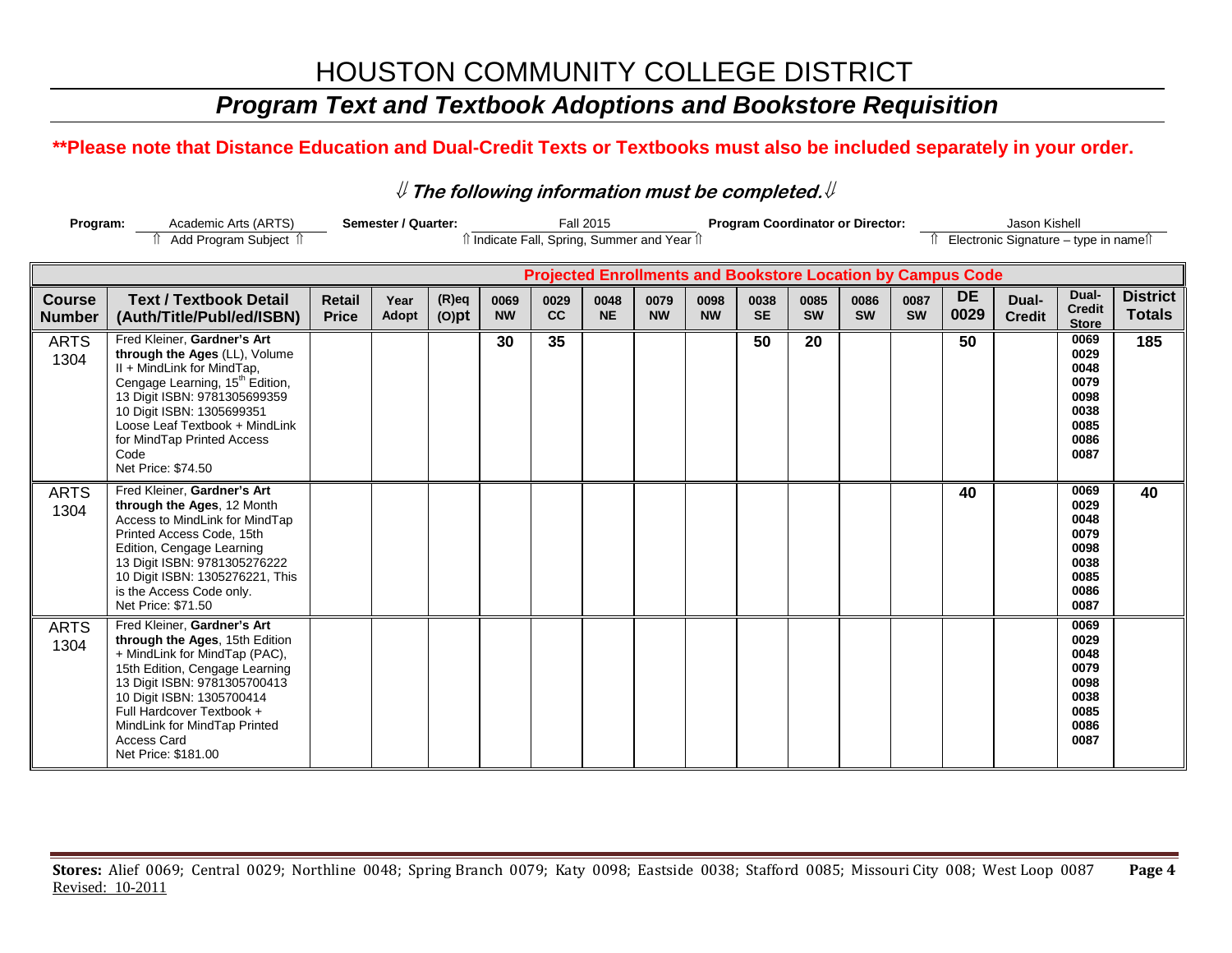## *Program Text and Textbook Adoptions and Bookstore Requisition*

### **\*\*Please note that Distance Education and Dual-Credit Texts or Textbooks must also be included separately in your order.**

#### ⇓ **The following information must be completed.**⇓

| Program:                       | Academic Arts (ARTS)                                                                                                                                                                                                                                                                                    |                               | Semester / Quarter: |                      |                   |                                            | <b>Fall 2015</b>  |                   |                   | <b>Program Coordinator or Director:</b> |                   |                   |                   |                                                                    | Jason Kishell                         |                                                                      |                                  |
|--------------------------------|---------------------------------------------------------------------------------------------------------------------------------------------------------------------------------------------------------------------------------------------------------------------------------------------------------|-------------------------------|---------------------|----------------------|-------------------|--------------------------------------------|-------------------|-------------------|-------------------|-----------------------------------------|-------------------|-------------------|-------------------|--------------------------------------------------------------------|---------------------------------------|----------------------------------------------------------------------|----------------------------------|
|                                | Add Program Subject 1                                                                                                                                                                                                                                                                                   |                               |                     |                      |                   | î Indicate Fall, Spring, Summer and Year î |                   |                   |                   |                                         |                   |                   |                   |                                                                    | Electronic Signature - type in namest |                                                                      |                                  |
|                                |                                                                                                                                                                                                                                                                                                         |                               |                     |                      |                   |                                            |                   |                   |                   |                                         |                   |                   |                   | <b>Projected Enrollments and Bookstore Location by Campus Code</b> |                                       |                                                                      |                                  |
| <b>Course</b><br><b>Number</b> | <b>Text / Textbook Detail</b><br>(Auth/Title/Publ/ed/ISBN)                                                                                                                                                                                                                                              | <b>Retail</b><br><b>Price</b> | Year<br>Adopt       | $(R)$ eq<br>$(O)$ pt | 0069<br><b>NW</b> | 0029<br>cc                                 | 0048<br><b>NE</b> | 0079<br><b>NW</b> | 0098<br><b>NW</b> | 0038<br><b>SE</b>                       | 0085<br><b>SW</b> | 0086<br><b>SW</b> | 0087<br><b>SW</b> | <b>DE</b><br>0029                                                  | Dual-<br><b>Credit</b>                | Dual-<br><b>Credit</b><br><b>Store</b>                               | <b>District</b><br><b>Totals</b> |
| <b>ARTS</b><br>1304            | Fred Kleiner, Gardner's Art<br>through the Ages (LL), Volume<br>II + MindLink for MindTap,<br>Cengage Learning, 15 <sup>th</sup> Edition,<br>13 Digit ISBN: 9781305699359<br>10 Digit ISBN: 1305699351<br>Loose Leaf Textbook + MindLink<br>for MindTap Printed Access<br>Code<br>Net Price: \$74.50    |                               |                     |                      | 30                | 35                                         |                   |                   |                   | 50                                      | 20                |                   |                   | 50                                                                 |                                       | 0069<br>0029<br>0048<br>0079<br>0098<br>0038<br>0085<br>0086<br>0087 | 185                              |
| <b>ARTS</b><br>1304            | Fred Kleiner, Gardner's Art<br>through the Ages, 12 Month<br>Access to MindLink for MindTap<br>Printed Access Code, 15th<br>Edition, Cengage Learning<br>13 Digit ISBN: 9781305276222<br>10 Digit ISBN: 1305276221, This<br>is the Access Code only.<br>Net Price: \$71.50                              |                               |                     |                      |                   |                                            |                   |                   |                   |                                         |                   |                   |                   | 40                                                                 |                                       | 0069<br>0029<br>0048<br>0079<br>0098<br>0038<br>0085<br>0086<br>0087 | 40                               |
| <b>ARTS</b><br>1304            | Fred Kleiner. Gardner's Art<br>through the Ages, 15th Edition<br>+ MindLink for MindTap (PAC),<br>15th Edition, Cengage Learning<br>13 Digit ISBN: 9781305700413<br>10 Digit ISBN: 1305700414<br>Full Hardcover Textbook +<br>MindLink for MindTap Printed<br><b>Access Card</b><br>Net Price: \$181.00 |                               |                     |                      |                   |                                            |                   |                   |                   |                                         |                   |                   |                   |                                                                    |                                       | 0069<br>0029<br>0048<br>0079<br>0098<br>0038<br>0085<br>0086<br>0087 |                                  |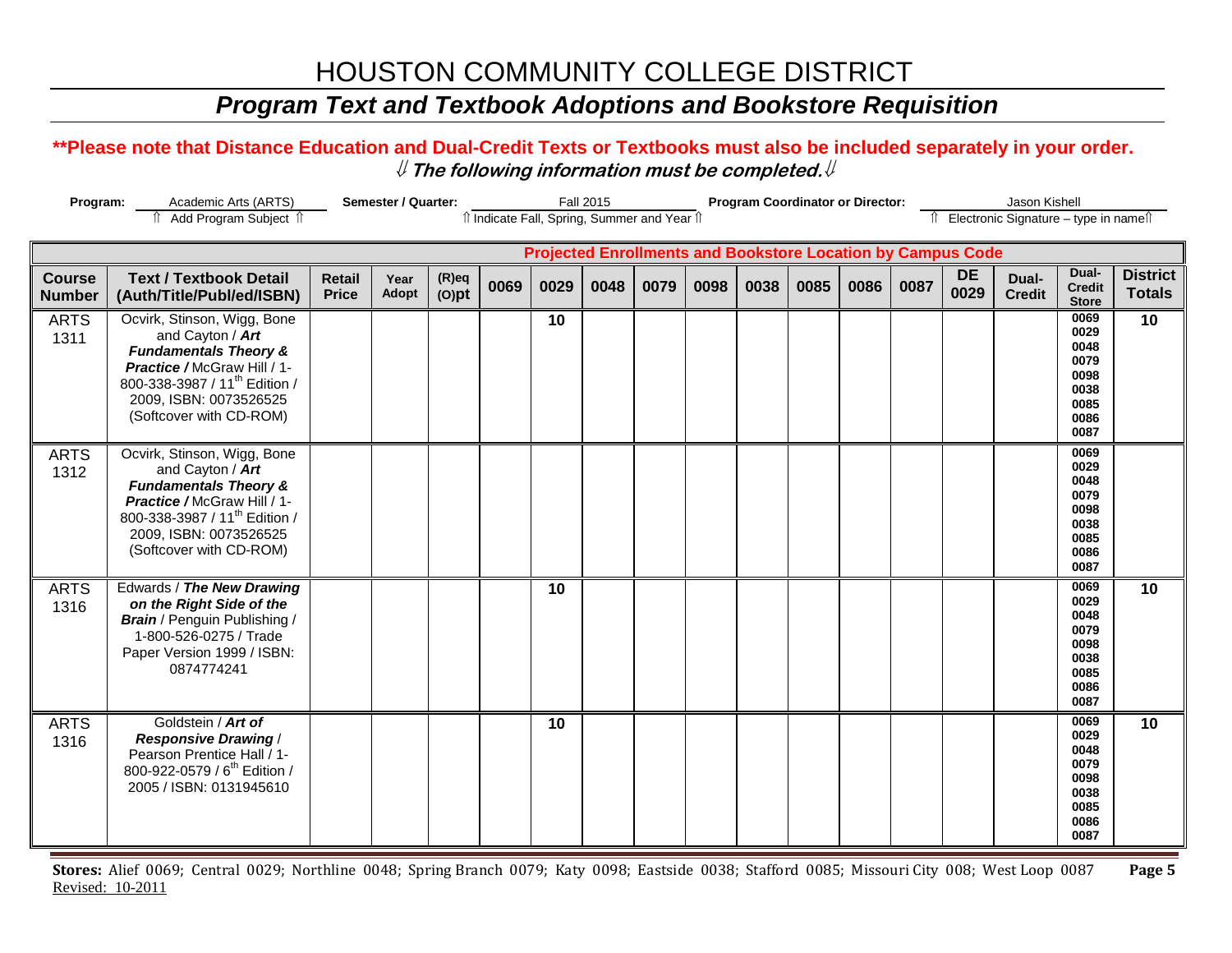## *Program Text and Textbook Adoptions and Bookstore Requisition*

#### **\*\*Please note that Distance Education and Dual-Credit Texts or Textbooks must also be included separately in your order.**  ⇓ **The following information must be completed.**⇓

| Program:<br>Semester / Quarter:<br>Academic Arts (ARTS)<br>Add Program Subject 1 |                                                                                                                                                                                                                      |                               |               |                      |      |                                              | <b>Fall 2015</b> |      | <b>Program Coordinator or Director:</b> |      |      |      |      |                                                                    | Jason Kishell<br>↑ Electronic Signature – type in name |                                                                      |                                  |
|----------------------------------------------------------------------------------|----------------------------------------------------------------------------------------------------------------------------------------------------------------------------------------------------------------------|-------------------------------|---------------|----------------------|------|----------------------------------------------|------------------|------|-----------------------------------------|------|------|------|------|--------------------------------------------------------------------|--------------------------------------------------------|----------------------------------------------------------------------|----------------------------------|
|                                                                                  |                                                                                                                                                                                                                      |                               |               |                      |      | îl Indicate Fall, Spring, Summer and Year îl |                  |      |                                         |      |      |      |      |                                                                    |                                                        |                                                                      |                                  |
|                                                                                  |                                                                                                                                                                                                                      |                               |               |                      |      |                                              |                  |      |                                         |      |      |      |      | <b>Projected Enrollments and Bookstore Location by Campus Code</b> |                                                        |                                                                      |                                  |
| <b>Course</b><br><b>Number</b>                                                   | <b>Text / Textbook Detail</b><br>(Auth/Title/Publ/ed/ISBN)                                                                                                                                                           | <b>Retail</b><br><b>Price</b> | Year<br>Adopt | $(R)$ eq<br>$(O)$ pt | 0069 | 0029                                         | 0048             | 0079 | 0098                                    | 0038 | 0085 | 0086 | 0087 | <b>DE</b><br>0029                                                  | Dual-<br><b>Credit</b>                                 | Dual-<br><b>Credit</b><br><b>Store</b>                               | <b>District</b><br><b>Totals</b> |
| <b>ARTS</b><br>1311                                                              | Ocvirk, Stinson, Wigg, Bone<br>and Cayton / Art<br><b>Fundamentals Theory &amp;</b><br>Practice / McGraw Hill / 1-<br>800-338-3987 / 11 <sup>th</sup> Edition /<br>2009, ISBN: 0073526525<br>(Softcover with CD-ROM) |                               |               |                      |      | 10                                           |                  |      |                                         |      |      |      |      |                                                                    |                                                        | 0069<br>0029<br>0048<br>0079<br>0098<br>0038<br>0085<br>0086<br>0087 | 10                               |
| <b>ARTS</b><br>1312                                                              | Ocvirk, Stinson, Wigg, Bone<br>and Cayton / Art<br><b>Fundamentals Theory &amp;</b><br>Practice / McGraw Hill / 1-<br>800-338-3987 / 11 <sup>th</sup> Edition /<br>2009, ISBN: 0073526525<br>(Softcover with CD-ROM) |                               |               |                      |      |                                              |                  |      |                                         |      |      |      |      |                                                                    |                                                        | 0069<br>0029<br>0048<br>0079<br>0098<br>0038<br>0085<br>0086<br>0087 |                                  |
| <b>ARTS</b><br>1316                                                              | Edwards / The New Drawing<br>on the Right Side of the<br><b>Brain</b> / Penguin Publishing /<br>1-800-526-0275 / Trade<br>Paper Version 1999 / ISBN:<br>0874774241                                                   |                               |               |                      |      | 10                                           |                  |      |                                         |      |      |      |      |                                                                    |                                                        | 0069<br>0029<br>0048<br>0079<br>0098<br>0038<br>0085<br>0086<br>0087 | 10                               |
| <b>ARTS</b><br>1316                                                              | Goldstein / Art of<br><b>Responsive Drawing /</b><br>Pearson Prentice Hall / 1-<br>800-922-0579 / 6 <sup>th</sup> Edition /<br>2005 / ISBN: 0131945610                                                               |                               |               |                      |      | 10                                           |                  |      |                                         |      |      |      |      |                                                                    |                                                        | 0069<br>0029<br>0048<br>0079<br>0098<br>0038<br>0085<br>0086<br>0087 | 10                               |

**Stores:** Alief 0069; Central 0029; Northline 0048; Spring Branch 0079; Katy 0098; Eastside 0038; Stafford 0085; Missouri City 008; West Loop 0087 **Page 5** Revised: 10-2011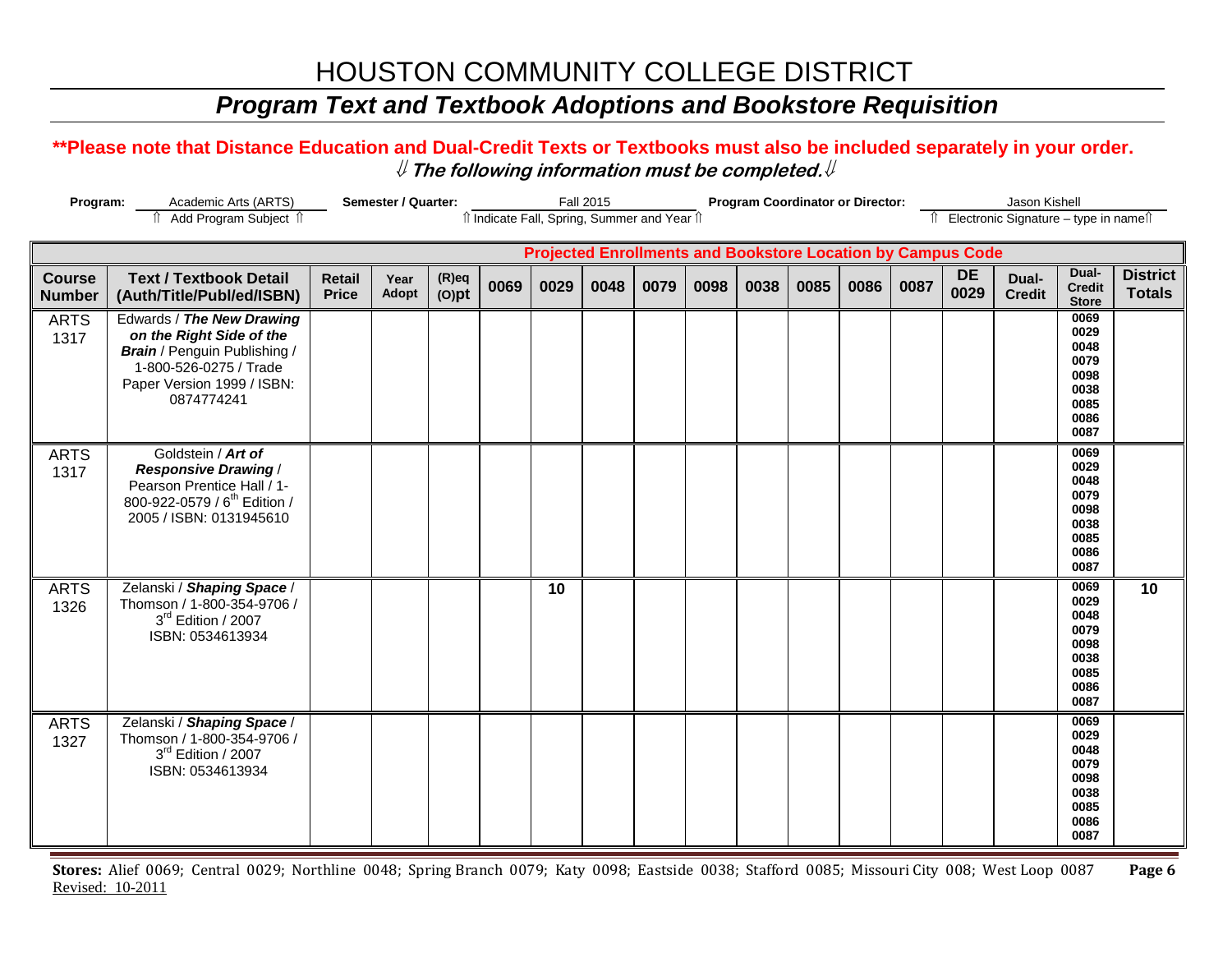## *Program Text and Textbook Adoptions and Bookstore Requisition*

#### **\*\*Please note that Distance Education and Dual-Credit Texts or Textbooks must also be included separately in your order.**  ⇓ **The following information must be completed.**⇓

| Program:<br>Semester / Quarter:<br>Academic Arts (ARTS)<br>Add Program Subject 1 |                                                                                                                                                                    |                               |                      |                      |      | <b>Fall 2015</b> |      | <b>Program Coordinator or Director:</b>                            |      |      |      |      |      | Jason Kishell<br>Îl Electronic Signature - type in nameîl |                        |                                                                      |                                  |
|----------------------------------------------------------------------------------|--------------------------------------------------------------------------------------------------------------------------------------------------------------------|-------------------------------|----------------------|----------------------|------|------------------|------|--------------------------------------------------------------------|------|------|------|------|------|-----------------------------------------------------------|------------------------|----------------------------------------------------------------------|----------------------------------|
|                                                                                  |                                                                                                                                                                    |                               |                      |                      |      |                  |      | Il Indicate Fall, Spring, Summer and Year Il                       |      |      |      |      |      |                                                           |                        |                                                                      |                                  |
|                                                                                  |                                                                                                                                                                    |                               |                      |                      |      |                  |      | <b>Projected Enrollments and Bookstore Location by Campus Code</b> |      |      |      |      |      |                                                           |                        |                                                                      |                                  |
| <b>Course</b><br><b>Number</b>                                                   | <b>Text / Textbook Detail</b><br>(Auth/Title/Publ/ed/ISBN)                                                                                                         | <b>Retail</b><br><b>Price</b> | Year<br><b>Adopt</b> | $(R)$ eq<br>$(O)$ pt | 0069 | 0029             | 0048 | 0079                                                               | 0098 | 0038 | 0085 | 0086 | 0087 | <b>DE</b><br>0029                                         | Dual-<br><b>Credit</b> | Dual-<br><b>Credit</b><br><b>Store</b>                               | <b>District</b><br><b>Totals</b> |
| <b>ARTS</b><br>1317                                                              | Edwards / The New Drawing<br>on the Right Side of the<br><b>Brain</b> / Penguin Publishing /<br>1-800-526-0275 / Trade<br>Paper Version 1999 / ISBN:<br>0874774241 |                               |                      |                      |      |                  |      |                                                                    |      |      |      |      |      |                                                           |                        | 0069<br>0029<br>0048<br>0079<br>0098<br>0038<br>0085<br>0086<br>0087 |                                  |
| <b>ARTS</b><br>1317                                                              | Goldstein / Art of<br><b>Responsive Drawing /</b><br>Pearson Prentice Hall / 1-<br>800-922-0579 / 6 <sup>th</sup> Edition /<br>2005 / ISBN: 0131945610             |                               |                      |                      |      |                  |      |                                                                    |      |      |      |      |      |                                                           |                        | 0069<br>0029<br>0048<br>0079<br>0098<br>0038<br>0085<br>0086<br>0087 |                                  |
| <b>ARTS</b><br>1326                                                              | Zelanski / Shaping Space /<br>Thomson / 1-800-354-9706 /<br>3rd Edition / 2007<br>ISBN: 0534613934                                                                 |                               |                      |                      |      | 10               |      |                                                                    |      |      |      |      |      |                                                           |                        | 0069<br>0029<br>0048<br>0079<br>0098<br>0038<br>0085<br>0086<br>0087 | $\overline{10}$                  |
| <b>ARTS</b><br>1327                                                              | Zelanski / Shaping Space /<br>Thomson / 1-800-354-9706 /<br>3rd Edition / 2007<br>ISBN: 0534613934                                                                 |                               |                      |                      |      |                  |      |                                                                    |      |      |      |      |      |                                                           |                        | 0069<br>0029<br>0048<br>0079<br>0098<br>0038<br>0085<br>0086<br>0087 |                                  |

**Stores:** Alief 0069; Central 0029; Northline 0048; Spring Branch 0079; Katy 0098; Eastside 0038; Stafford 0085; Missouri City 008; West Loop 0087 **Page 6** Revised: 10-2011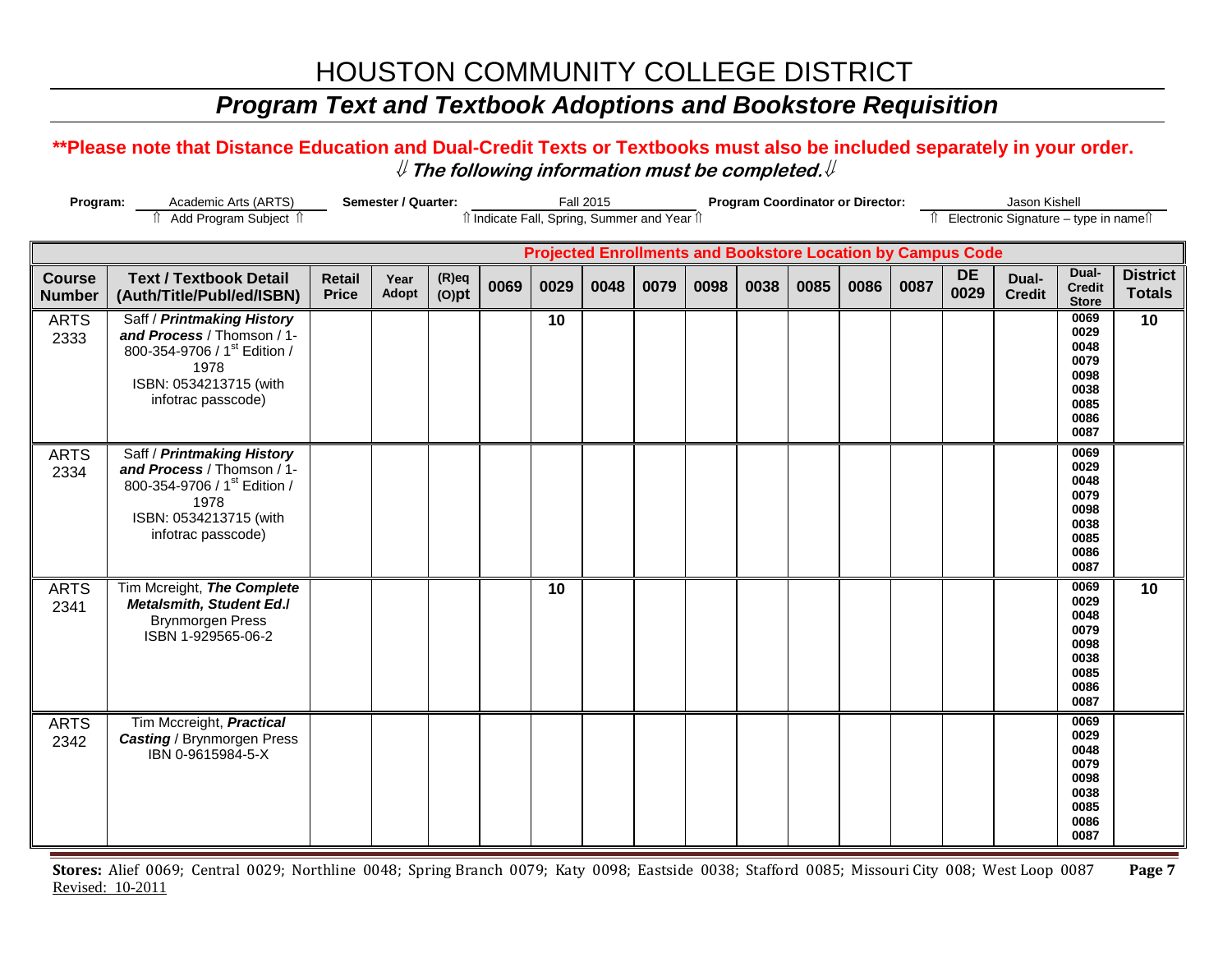## *Program Text and Textbook Adoptions and Bookstore Requisition*

#### **\*\*Please note that Distance Education and Dual-Credit Texts or Textbooks must also be included separately in your order.**  ⇓ **The following information must be completed.**⇓

| Program:<br>Semester / Quarter:<br>Academic Arts (ARTS) |                                                                                                                                                              |                               |               |                      |      | <b>Fall 2015</b> |      | <b>Program Coordinator or Director:</b>                            |      |      |      |      |      | Jason Kishell<br>Îl Electronic Signature - type in nameîl |                        |                                                                      |                                  |
|---------------------------------------------------------|--------------------------------------------------------------------------------------------------------------------------------------------------------------|-------------------------------|---------------|----------------------|------|------------------|------|--------------------------------------------------------------------|------|------|------|------|------|-----------------------------------------------------------|------------------------|----------------------------------------------------------------------|----------------------------------|
|                                                         | î Add Program Subject î                                                                                                                                      |                               |               |                      |      |                  |      | îl Indicate Fall, Spring, Summer and Year îl                       |      |      |      |      |      |                                                           |                        |                                                                      |                                  |
|                                                         |                                                                                                                                                              |                               |               |                      |      |                  |      | <b>Projected Enrollments and Bookstore Location by Campus Code</b> |      |      |      |      |      |                                                           |                        |                                                                      |                                  |
| <b>Course</b><br><b>Number</b>                          | <b>Text / Textbook Detail</b><br>(Auth/Title/Publ/ed/ISBN)                                                                                                   | <b>Retail</b><br><b>Price</b> | Year<br>Adopt | $(R)$ eq<br>$(O)$ pt | 0069 | 0029             | 0048 | 0079                                                               | 0098 | 0038 | 0085 | 0086 | 0087 | <b>DE</b><br>0029                                         | Dual-<br><b>Credit</b> | Dual-<br><b>Credit</b><br><b>Store</b>                               | <b>District</b><br><b>Totals</b> |
| <b>ARTS</b><br>2333                                     | Saff / Printmaking History<br>and Process / Thomson / 1-<br>800-354-9706 / 1 <sup>st</sup> Edition /<br>1978<br>ISBN: 0534213715 (with<br>infotrac passcode) |                               |               |                      |      | 10               |      |                                                                    |      |      |      |      |      |                                                           |                        | 0069<br>0029<br>0048<br>0079<br>0098<br>0038<br>0085<br>0086<br>0087 | 10                               |
| <b>ARTS</b><br>2334                                     | Saff / Printmaking History<br>and Process / Thomson / 1-<br>800-354-9706 / 1st Edition /<br>1978<br>ISBN: 0534213715 (with<br>infotrac passcode)             |                               |               |                      |      |                  |      |                                                                    |      |      |      |      |      |                                                           |                        | 0069<br>0029<br>0048<br>0079<br>0098<br>0038<br>0085<br>0086<br>0087 |                                  |
| <b>ARTS</b><br>2341                                     | Tim Mcreight, The Complete<br><b>Metalsmith, Student Ed./</b><br><b>Brynmorgen Press</b><br>ISBN 1-929565-06-2                                               |                               |               |                      |      | 10               |      |                                                                    |      |      |      |      |      |                                                           |                        | 0069<br>0029<br>0048<br>0079<br>0098<br>0038<br>0085<br>0086<br>0087 | $\overline{10}$                  |
| <b>ARTS</b><br>2342                                     | Tim Mccreight, Practical<br><b>Casting / Brynmorgen Press</b><br>IBN 0-9615984-5-X                                                                           |                               |               |                      |      |                  |      |                                                                    |      |      |      |      |      |                                                           |                        | 0069<br>0029<br>0048<br>0079<br>0098<br>0038<br>0085<br>0086<br>0087 |                                  |

**Stores:** Alief 0069; Central 0029; Northline 0048; Spring Branch 0079; Katy 0098; Eastside 0038; Stafford 0085; Missouri City 008; West Loop 0087 **Page 7** Revised: 10-2011